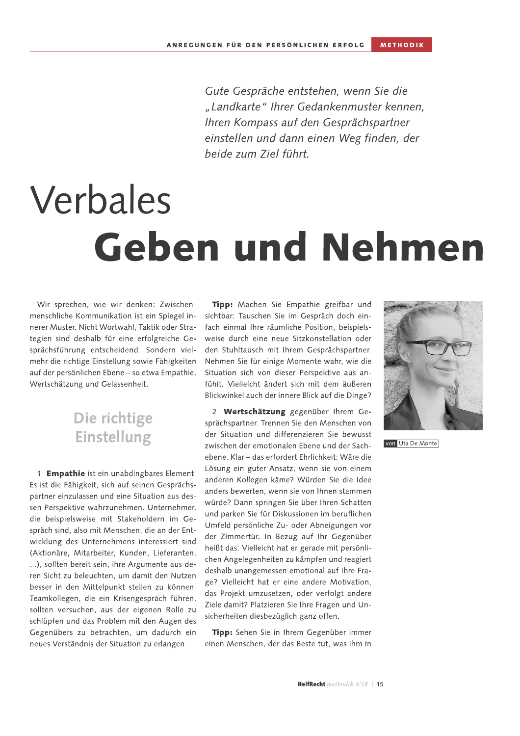Gute Gespräche entstehen, wenn Sie die "Landkarte" Ihrer Gedankenmuster kennen. Ihren Kompass auf den Gesprächspartner einstellen und dann einen Weg finden, der beide zum Ziel führt.

## Verbales **Geben und Nehmen**

Wir sprechen, wie wir denken: Zwischenmenschliche Kommunikation ist ein Spiegel innerer Muster. Nicht Wortwahl, Taktik oder Strategien sind deshalb für eine erfolgreiche Gesprächsführung entscheidend. Sondern vielmehr die richtige Einstellung sowie Fähigkeiten auf der persönlichen Ebene - so etwa Empathie, Wertschätzung und Gelassenheit.

## Die richtige **Einstellung**

1. Empathie ist ein unabdingbares Element. Es ist die Fähigkeit, sich auf seinen Gesprächspartner einzulassen und eine Situation aus dessen Perspektive wahrzunehmen. Unternehmer, die beispielsweise mit Stakeholdern im Gespräch sind, also mit Menschen, die an der Entwicklung des Unternehmens interessiert sind (Aktionäre, Mitarbeiter, Kunden, Lieferanten, ...), sollten bereit sein, ihre Argumente aus deren Sicht zu beleuchten, um damit den Nutzen besser in den Mittelpunkt stellen zu können. Teamkollegen, die ein Krisengespräch führen, sollten versuchen, aus der eigenen Rolle zu schlüpfen und das Problem mit den Augen des Gegenübers zu betrachten, um dadurch ein neues Verständnis der Situation zu erlangen.

Tipp: Machen Sie Empathie greifbar und sichtbar: Tauschen Sie im Gespräch doch einfach einmal Ihre räumliche Position, beispielsweise durch eine neue Sitzkonstellation oder den Stuhltausch mit Ihrem Gesprächspartner. Nehmen Sie für einige Momente wahr, wie die Situation sich von dieser Perspektive aus anfühlt. Vielleicht ändert sich mit dem äußeren Blickwinkel auch der innere Blick auf die Dinge?

2. Wertschätzung gegenüber Ihrem Gesprächspartner. Trennen Sie den Menschen von der Situation und differenzieren Sie bewusst zwischen der emotionalen Ebene und der Sachebene. Klar – das erfordert Ehrlichkeit: Wäre die Lösung ein guter Ansatz, wenn sie von einem anderen Kollegen käme? Würden Sie die Idee anders bewerten, wenn sie von Ihnen stammen würde? Dann springen Sie über Ihren Schatten und parken Sie für Diskussionen im beruflichen Umfeld persönliche Zu- oder Abneigungen vor der Zimmertür. In Bezug auf Ihr Gegenüber heißt das: Vielleicht hat er gerade mit persönlichen Angelegenheiten zu kämpfen und reagiert deshalb unangemessen emotional auf Ihre Frage? Vielleicht hat er eine andere Motivation, das Projekt umzusetzen, oder verfolgt andere Ziele damit? Platzieren Sie Ihre Fragen und Unsicherheiten diesbezüglich ganz offen.

Tipp: Sehen Sie in Ihrem Gegenüber immer einen Menschen, der das Beste tut, was ihm in



von Uta De Monte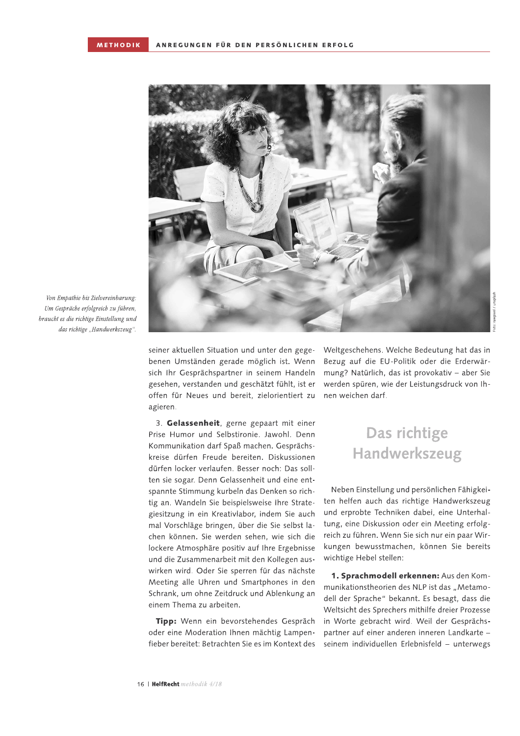

Von Empathie bis Zielvereinbarung: Um Gespräche erfolgreich zu führen, braucht es die richtige Einstellung und das richtige "Handwerkszeug".

> seiner aktuellen Situation und unter den gegebenen Umständen gerade möglich ist. Wenn sich Ihr Gesprächspartner in seinem Handeln gesehen, verstanden und geschätzt fühlt, ist er offen für Neues und bereit, zielorientiert zu agieren.

3. Gelassenheit, gerne gepaart mit einer Prise Humor und Selbstironie. Jawohl. Denn Kommunikation darf Spaß machen. Gesprächskreise dürfen Freude bereiten. Diskussionen dürfen locker verlaufen. Besser noch: Das sollten sie sogar. Denn Gelassenheit und eine entspannte Stimmung kurbeln das Denken so richtig an. Wandeln Sie beispielsweise Ihre Strategiesitzung in ein Kreativlabor, indem Sie auch mal Vorschläge bringen, über die Sie selbst lachen können. Sie werden sehen, wie sich die lockere Atmosphäre positiv auf Ihre Ergebnisse und die Zusammenarbeit mit den Kollegen auswirken wird. Oder Sie sperren für das nächste Meeting alle Uhren und Smartphones in den Schrank, um ohne Zeitdruck und Ablenkung an einem Thema zu arbeiten.

Tipp: Wenn ein bevorstehendes Gespräch oder eine Moderation Ihnen mächtig Lampenfieber bereitet: Betrachten Sie es im Kontext des Weltgeschehens. Welche Bedeutung hat das in Bezug auf die EU-Politik oder die Erderwärmung? Natürlich, das ist provokativ - aber Sie werden spüren, wie der Leistungsdruck von Ihnen weichen darf.

## Das richtige **Handwerkszeug**

Neben Einstellung und persönlichen Fähigkeiten helfen auch das richtige Handwerkszeug und erprobte Techniken dabei, eine Unterhaltung, eine Diskussion oder ein Meeting erfolgreich zu führen. Wenn Sie sich nur ein paar Wirkungen bewusstmachen, können Sie bereits wichtige Hebel stellen:

1. Sprachmodell erkennen: Aus den Kommunikationstheorien des NLP ist das "Metamodell der Sprache" bekannt. Es besagt, dass die Weltsicht des Sprechers mithilfe dreier Prozesse in Worte gebracht wird. Weil der Gesprächspartner auf einer anderen inneren Landkarte seinem individuellen Erlebnisfeld - unterwegs